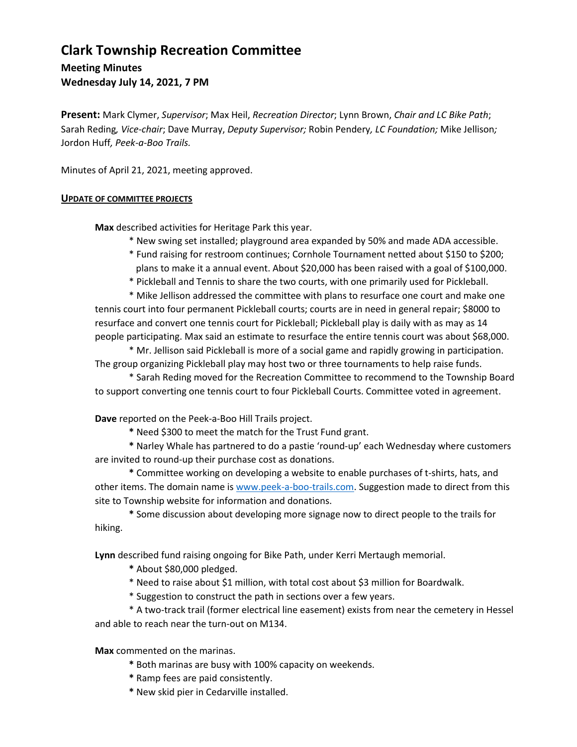## **Clark Township Recreation Committee**

**Meeting Minutes**

**Wednesday July 14, 2021, 7 PM**

**Present:** Mark Clymer, *Supervisor*; Max Heil, *Recreation Director*; Lynn Brown, *Chair and LC Bike Path*; Sarah Reding*, Vice-chair*; Dave Murray, *Deputy Supervisor;* Robin Pendery*, LC Foundation;* Mike Jellison*;*  Jordon Huff*, Peek-a-Boo Trails.*

Minutes of April 21, 2021, meeting approved.

## **UPDATE OF COMMITTEE PROJECTS**

**Max** described activities for Heritage Park this year.

\* New swing set installed; playground area expanded by 50% and made ADA accessible.

- \* Fund raising for restroom continues; Cornhole Tournament netted about \$150 to \$200; plans to make it a annual event. About \$20,000 has been raised with a goal of \$100,000.
- \* Pickleball and Tennis to share the two courts, with one primarily used for Pickleball.

\* Mike Jellison addressed the committee with plans to resurface one court and make one tennis court into four permanent Pickleball courts; courts are in need in general repair; \$8000 to resurface and convert one tennis court for Pickleball; Pickleball play is daily with as may as 14 people participating. Max said an estimate to resurface the entire tennis court was about \$68,000.

\* Mr. Jellison said Pickleball is more of a social game and rapidly growing in participation. The group organizing Pickleball play may host two or three tournaments to help raise funds.

\* Sarah Reding moved for the Recreation Committee to recommend to the Township Board to support converting one tennis court to four Pickleball Courts. Committee voted in agreement.

**Dave** reported on the Peek-a-Boo Hill Trails project.

**\*** Need \$300 to meet the match for the Trust Fund grant.

**\*** Narley Whale has partnered to do a pastie 'round-up' each Wednesday where customers are invited to round-up their purchase cost as donations.

**\*** Committee working on developing a website to enable purchases of t-shirts, hats, and other items. The domain name i[s www.peek-a-boo-trails.com.](http://www.peek-a-boo-trails.com/) Suggestion made to direct from this site to Township website for information and donations.

**\*** Some discussion about developing more signage now to direct people to the trails for hiking.

**Lynn** described fund raising ongoing for Bike Path, under Kerri Mertaugh memorial.

- **\*** About \$80,000 pledged.
- \* Need to raise about \$1 million, with total cost about \$3 million for Boardwalk.
- \* Suggestion to construct the path in sections over a few years.

\* A two-track trail (former electrical line easement) exists from near the cemetery in Hessel and able to reach near the turn-out on M134.

**Max** commented on the marinas.

- **\*** Both marinas are busy with 100% capacity on weekends.
- **\*** Ramp fees are paid consistently.
- **\*** New skid pier in Cedarville installed.